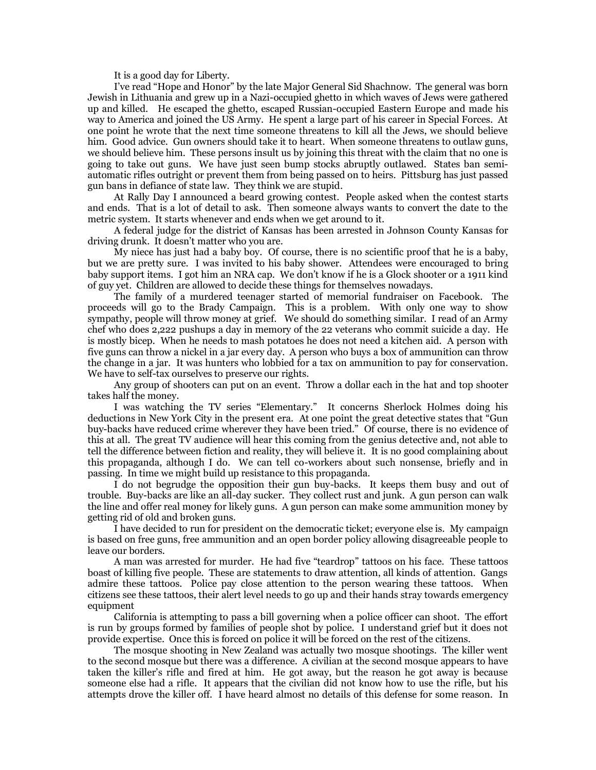It is a good day for Liberty.

I've read "Hope and Honor" by the late Major General Sid Shachnow. The general was born Jewish in Lithuania and grew up in a Nazi-occupied ghetto in which waves of Jews were gathered up and killed. He escaped the ghetto, escaped Russian-occupied Eastern Europe and made his way to America and joined the US Army. He spent a large part of his career in Special Forces. At one point he wrote that the next time someone threatens to kill all the Jews, we should believe him. Good advice. Gun owners should take it to heart. When someone threatens to outlaw guns, we should believe him. These persons insult us by joining this threat with the claim that no one is going to take out guns. We have just seen bump stocks abruptly outlawed. States ban semiautomatic rifles outright or prevent them from being passed on to heirs. Pittsburg has just passed gun bans in defiance of state law. They think we are stupid.

At Rally Day I announced a beard growing contest. People asked when the contest starts and ends. That is a lot of detail to ask. Then someone always wants to convert the date to the metric system. It starts whenever and ends when we get around to it.

A federal judge for the district of Kansas has been arrested in Johnson County Kansas for driving drunk. It doesn't matter who you are.

My niece has just had a baby boy. Of course, there is no scientific proof that he is a baby, but we are pretty sure. I was invited to his baby shower. Attendees were encouraged to bring baby support items. I got him an NRA cap. We don't know if he is a Glock shooter or a 1911 kind of guy yet. Children are allowed to decide these things for themselves nowadays.

The family of a murdered teenager started of memorial fundraiser on Facebook. The proceeds will go to the Brady Campaign. This is a problem. With only one way to show sympathy, people will throw money at grief. We should do something similar. I read of an Army chef who does 2,222 pushups a day in memory of the 22 veterans who commit suicide a day. He is mostly bicep. When he needs to mash potatoes he does not need a kitchen aid. A person with five guns can throw a nickel in a jar every day. A person who buys a box of ammunition can throw the change in a jar. It was hunters who lobbied for a tax on ammunition to pay for conservation. We have to self-tax ourselves to preserve our rights.

Any group of shooters can put on an event. Throw a dollar each in the hat and top shooter takes half the money.

I was watching the TV series "Elementary." It concerns Sherlock Holmes doing his deductions in New York City in the present era. At one point the great detective states that "Gun buy-backs have reduced crime wherever they have been tried." Of course, there is no evidence of this at all. The great TV audience will hear this coming from the genius detective and, not able to tell the difference between fiction and reality, they will believe it. It is no good complaining about this propaganda, although I do. We can tell co-workers about such nonsense, briefly and in passing. In time we might build up resistance to this propaganda.

I do not begrudge the opposition their gun buy-backs. It keeps them busy and out of trouble. Buy-backs are like an all-day sucker. They collect rust and junk. A gun person can walk the line and offer real money for likely guns. A gun person can make some ammunition money by getting rid of old and broken guns.

I have decided to run for president on the democratic ticket; everyone else is. My campaign is based on free guns, free ammunition and an open border policy allowing disagreeable people to leave our borders.

A man was arrested for murder. He had five "teardrop" tattoos on his face. These tattoos boast of killing five people. These are statements to draw attention, all kinds of attention. Gangs admire these tattoos. Police pay close attention to the person wearing these tattoos. When citizens see these tattoos, their alert level needs to go up and their hands stray towards emergency equipment

California is attempting to pass a bill governing when a police officer can shoot. The effort is run by groups formed by families of people shot by police. I understand grief but it does not provide expertise. Once this is forced on police it will be forced on the rest of the citizens.

The mosque shooting in New Zealand was actually two mosque shootings. The killer went to the second mosque but there was a difference. A civilian at the second mosque appears to have taken the killer's rifle and fired at him. He got away, but the reason he got away is because someone else had a rifle. It appears that the civilian did not know how to use the rifle, but his attempts drove the killer off. I have heard almost no details of this defense for some reason. In